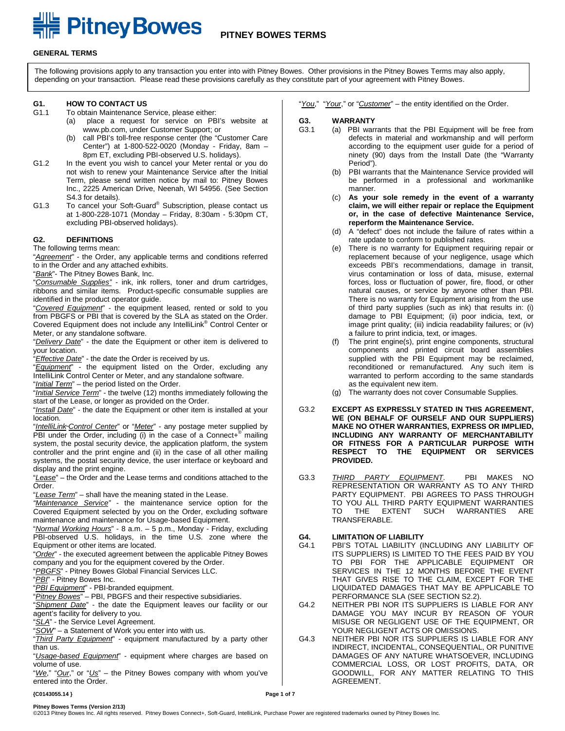# **EXAMPLE PITTICY BOWES PITNEY BOWES TERMS**

#### **GENERAL TERMS**

The following provisions apply to any transaction you enter into with Pitney Bowes. Other provisions in the Pitney Bowes Terms may also apply, depending on your transaction. Please read these provisions carefully as they constitute part of your agreement with Pitney Bowes.

# **G1. HOW TO CONTACT US**

- To obtain Maintenance Service, please either:
	- place a request for service on PBI's website at www.pb.com, under Customer Support; or
	- (b) call PBI's toll-free response center (the "Customer Care Center") at 1-800-522-0020 (Monday - Friday, 8am – 8pm ET, excluding PBI-observed U.S. holidays).
- G1.2 In the event you wish to cancel your Meter rental or you do not wish to renew your Maintenance Service after the Initial Term, please send written notice by mail to: Pitney Bowes Inc., 2225 American Drive, Neenah, WI 54956. (See Section S4.3 for details).
- G1.3 To cancel your Soft-Guard® Subscription, please contact us at 1-800-228-1071 (Monday – Friday, 8:30am - 5:30pm CT, excluding PBI-observed holidays).

#### **G2. DEFINITIONS**

The following terms mean:

"*Agreement*" - the Order, any applicable terms and conditions referred to in the Order and any attached exhibits.

"*Bank*"- The Pitney Bowes Bank, Inc.

"*Consumable Supplies"* - ink, ink rollers, toner and drum cartridges, ribbons and similar items. Product-specific consumable supplies are identified in the product operator guide.

"*Covered Equipment*" - the equipment leased, rented or sold to you from PBGFS or PBI that is covered by the SLA as stated on the Order. Covered Equipment does not include any IntelliLink® Control Center or Meter, or any standalone software.

"*Delivery Date*" - the date the Equipment or other item is delivered to your location.

"*Effective Date*" - the date the Order is received by us.

"*Equipment*" - the equipment listed on the Order, excluding any IntelliLink Control Center or Meter, and any standalone software. "*Initial Term*" – the period listed on the Order.

"*Initial Service Term*" - the twelve (12) months immediately following the start of the Lease, or longer as provided on the Order.

"*Install Date*" - the date the Equipment or other item is installed at your location.

"*IntelliLink Control Center*" or "*Meter*" - any postage meter supplied by PBI under the Order, including (i) in the case of a Connect+ $^{\circ}$  mailing system, the postal security device, the application platform, the system controller and the print engine and (ii) in the case of all other mailing systems, the postal security device, the user interface or keyboard and display and the print engine.

"*Lease*" – the Order and the Lease terms and conditions attached to the Order.

"*Lease Term*" – shall have the meaning stated in the Lease.

*"Maintenance Service"* - the maintenance service option for the Covered Equipment selected by you on the Order, excluding software maintenance and maintenance for Usage-based Equipment.

"*Normal Working Hours*" - 8 a.m. – 5 p.m., Monday - Friday, excluding PBI-observed U.S. holidays, in the time U.S. zone where the Equipment or other items are located.

"*Order*" - the executed agreement between the applicable Pitney Bowes company and you for the equipment covered by the Order.

"*PBGFS*" - Pitney Bowes Global Financial Services LLC.

"*PBI*" - Pitney Bowes Inc.

"*PBI Equipment*" - PBI-branded equipment.

"*Pitney Bowes*" – PBI, PBGFS and their respective subsidiaries.

"*Shipment Date*" - the date the Equipment leaves our facility or our agent's facility for delivery to you.

"*SLA*" - the Service Level Agreement.

"*SOW*" – a Statement of Work you enter into with us.

"*Third Party Equipment*" - equipment manufactured by a party other than us.

"*Usage-based Equipment*" - equipment where charges are based on volume of use.

"*We*," "*Our*," or "*Us*" – the Pitney Bowes company with whom you've entered into the Order.

"*You*," "*Your*," or "*Customer*" – the entity identified on the Order.

# **G3. WARRANTY**

- (a) PBI warrants that the PBI Equipment will be free from defects in material and workmanship and will perform according to the equipment user guide for a period of ninety (90) days from the Install Date (the "Warranty Period").
	- (b) PBI warrants that the Maintenance Service provided will be performed in a professional and workmanlike manner.
	- (c) **As your sole remedy in the event of a warranty claim, we will either repair or replace the Equipment or, in the case of defective Maintenance Service, reperform the Maintenance Service.**
	- (d) A "defect" does not include the failure of rates within a rate update to conform to published rates.
	- (e) There is no warranty for Equipment requiring repair or replacement because of your negligence, usage which exceeds PBI's recommendations, damage in transit, virus contamination or loss of data, misuse, external forces, loss or fluctuation of power, fire, flood, or other natural causes, or service by anyone other than PBI. There is no warranty for Equipment arising from the use of third party supplies (such as ink) that results in: (i) damage to PBI Equipment; (ii) poor indicia, text, or image print quality; (iii) indicia readability failures; or (iv) a failure to print indicia, text, or images.
	- (f) The print engine(s), print engine components, structural components and printed circuit board assemblies supplied with the PBI Equipment may be reclaimed, reconditioned or remanufactured. Any such item is warranted to perform according to the same standards as the equivalent new item.
	- (g) The warranty does not cover Consumable Supplies.
- G3.2 **EXCEPT AS EXPRESSLY STATED IN THIS AGREEMENT, WE (ON BEHALF OF OURSELF AND OUR SUPPLIERS) MAKE NO OTHER WARRANTIES, EXPRESS OR IMPLIED, INCLUDING ANY WARRANTY OF MERCHANTABILITY OR FITNESS FOR A PARTICULAR PURPOSE WITH RESPECT TO THE EQUIPMENT OR SERVICES PROVIDED.**
- G3.3 *THIRD PARTY EQUIPMENT*. PBI MAKES NO REPRESENTATION OR WARRANTY AS TO ANY THIRD PARTY EQUIPMENT. PBI AGREES TO PASS THROUGH TO YOU ALL THIRD PARTY EQUIPMENT WARRANTIES<br>TO THE EXTENT SUCH WARRANTIES ARE TO THE EXTENT SUCH WARRANTIES TRANSFERABLE.

# **G4. LIMITATION OF LIABILITY**

- PBI'S TOTAL LIABILITY (INCLUDING ANY LIABILITY OF ITS SUPPLIERS) IS LIMITED TO THE FEES PAID BY YOU TO PBI FOR THE APPLICABLE EQUIPMENT OR SERVICES IN THE 12 MONTHS BEFORE THE EVENT THAT GIVES RISE TO THE CLAIM, EXCEPT FOR THE LIQUIDATED DAMAGES THAT MAY BE APPLICABLE TO PERFORMANCE SLA (SEE SECTION S2.2).
- G4.2 NEITHER PBI NOR ITS SUPPLIERS IS LIABLE FOR ANY DAMAGE YOU MAY INCUR BY REASON OF YOUR MISUSE OR NEGLIGENT USE OF THE EQUIPMENT, OR YOUR NEGLIGENT ACTS OR OMISSIONS.
- G4.3 NEITHER PBI NOR ITS SUPPLIERS IS LIABLE FOR ANY INDIRECT, INCIDENTAL, CONSEQUENTIAL, OR PUNITIVE DAMAGES OF ANY NATURE WHATSOEVER, INCLUDING COMMERCIAL LOSS, OR LOST PROFITS, DATA, OR GOODWILL, FOR ANY MATTER RELATING TO THIS AGREEMENT.

**Pitney Bowes Terms (Version 2/13)**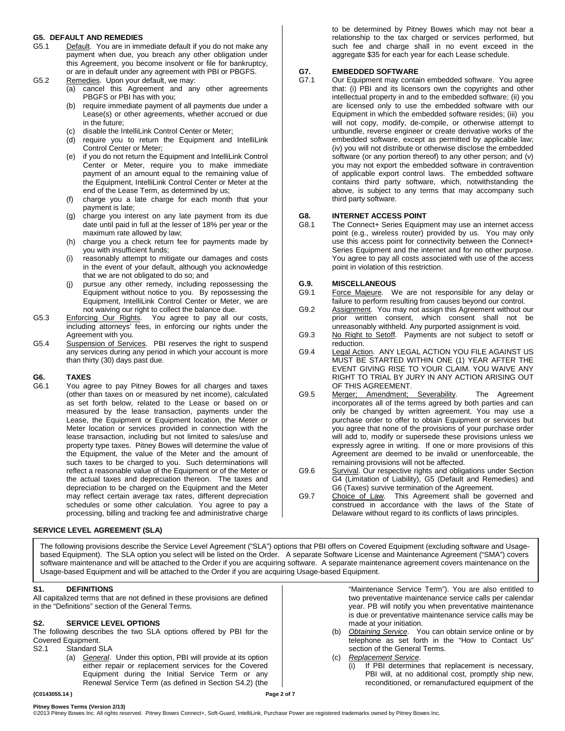# **G5. DEFAULT AND REMEDIES**

- Default. You are in immediate default if you do not make any payment when due, you breach any other obligation under this Agreement, you become insolvent or file for bankruptcy, or are in default under any agreement with PBI or PBGFS.
- G5.2 Remedies. Upon your default, we may:
	- (a) cancel this Agreement and any other agreements PBGFS or PBI has with you;
	- (b) require immediate payment of all payments due under a Lease(s) or other agreements, whether accrued or due in the future;
	- (c) disable the IntelliLink Control Center or Meter;
	- (d) require you to return the Equipment and IntelliLink Control Center or Meter;
	- (e) if you do not return the Equipment and IntelliLink Control Center or Meter, require you to make immediate payment of an amount equal to the remaining value of the Equipment, IntelliLink Control Center or Meter at the end of the Lease Term, as determined by us;
	- (f) charge you a late charge for each month that your payment is late;
	- (g) charge you interest on any late payment from its due date until paid in full at the lesser of 18% per year or the maximum rate allowed by law;
	- (h) charge you a check return fee for payments made by you with insufficient funds;
	- (i) reasonably attempt to mitigate our damages and costs in the event of your default, although you acknowledge that we are not obligated to do so; and
	- (j) pursue any other remedy, including repossessing the Equipment without notice to you. By repossessing the Equipment, IntelliLink Control Center or Meter, we are not waiving our right to collect the balance due.
- G5.3 Enforcing Our Rights. You agree to pay all our costs, including attorneys' fees, in enforcing our rights under the Agreement with you.
- G5.4 Suspension of Services. PBI reserves the right to suspend any services during any period in which your account is more than thirty (30) days past due.

## **G6. TAXES**

You agree to pay Pitney Bowes for all charges and taxes (other than taxes on or measured by net income), calculated as set forth below, related to the Lease or based on or measured by the lease transaction, payments under the Lease, the Equipment or Equipment location, the Meter or Meter location or services provided in connection with the lease transaction, including but not limited to sales/use and property type taxes. Pitney Bowes will determine the value of the Equipment, the value of the Meter and the amount of such taxes to be charged to you. Such determinations will reflect a reasonable value of the Equipment or of the Meter or the actual taxes and depreciation thereon. The taxes and depreciation to be charged on the Equipment and the Meter may reflect certain average tax rates, different depreciation schedules or some other calculation. You agree to pay a processing, billing and tracking fee and administrative charge

#### **SERVICE LEVEL AGREEMENT (SLA)**

The following provisions describe the Service Level Agreement ("SLA") options that PBI offers on Covered Equipment (excluding software and Usagebased Equipment). The SLA option you select will be listed on the Order. A separate Software License and Maintenance Agreement ("SMA") covers software maintenance and will be attached to the Order if you are acquiring software. A separate maintenance agreement covers maintenance on the Usage-based Equipment and will be attached to the Order if you are acquiring Usage-based Equipment.

#### **S1. DEFINITIONS**

All capitalized terms that are not defined in these provisions are defined in the "Definitions" section of the General Terms.

#### **S2. SERVICE LEVEL OPTIONS**

The following describes the two SLA options offered by PBI for the Covered Equipment.<br>S2.1 Standard S

Standard SLA

(a) *General*. Under this option, PBI will provide at its option either repair or replacement services for the Covered Equipment during the Initial Service Term or any Renewal Service Term (as defined in Section S4.2) (the

to be determined by Pitney Bowes which may not bear a relationship to the tax charged or services performed, but such fee and charge shall in no event exceed in the aggregate \$35 for each year for each Lease schedule.

# **G7. EMBEDDED SOFTWARE**

Our Equipment may contain embedded software. You agree that: (i) PBI and its licensors own the copyrights and other intellectual property in and to the embedded software; (ii) you are licensed only to use the embedded software with our Equipment in which the embedded software resides; (iii) you will not copy, modify, de-compile, or otherwise attempt to unbundle, reverse engineer or create derivative works of the embedded software, except as permitted by applicable law; (iv) you will not distribute or otherwise disclose the embedded software (or any portion thereof) to any other person; and (v) you may not export the embedded software in contravention of applicable export control laws. The embedded software contains third party software, which, notwithstanding the above, is subject to any terms that may accompany such third party software.

# **G8. INTERNET ACCESS POINT**

The Connect+ Series Equipment may use an internet access point (e.g., wireless router) provided by us. You may only use this access point for connectivity between the Connect+ Series Equipment and the internet and for no other purpose. You agree to pay all costs associated with use of the access point in violation of this restriction.

#### **G.9. MISCELLANEOUS**

- G9.1 Force Majeure. We are not responsible for any delay or failure to perform resulting from causes beyond our control.
- G9.2 Assignment. You may not assign this Agreement without our prior written consent, which consent shall not be unreasonably withheld. Any purported assignment is void.
- G9.3 No Right to Setoff. Payments are not subject to setoff or reduction.
- G9.4 Legal Action. ANY LEGAL ACTION YOU FILE AGAINST US MUST BE STARTED WITHIN ONE (1) YEAR AFTER THE EVENT GIVING RISE TO YOUR CLAIM. YOU WAIVE ANY RIGHT TO TRIAL BY JURY IN ANY ACTION ARISING OUT OF THIS AGREEMENT.
- G9.5 Merger; Amendment; Severability. The Agreement incorporates all of the terms agreed by both parties and can only be changed by written agreement. You may use a purchase order to offer to obtain Equipment or services but you agree that none of the provisions of your purchase order will add to, modify or supersede these provisions unless we expressly agree in writing. If one or more provisions of this Agreement are deemed to be invalid or unenforceable, the remaining provisions will not be affected.
- G9.6 Survival. Our respective rights and obligations under Section G4 (Limitation of Liability), G5 (Default and Remedies) and G6 (Taxes) survive termination of the Agreement.
- G9.7 Choice of Law. This Agreement shall be governed and construed in accordance with the laws of the State of Delaware without regard to its conflicts of laws principles.

"Maintenance Service Term"). You are also entitled to two preventative maintenance service calls per calendar year. PB will notify you when preventative maintenance is due or preventative maintenance service calls may be made at your initiation.

- (b) *Obtaining Service*. You can obtain service online or by telephone as set forth in the "How to Contact Us" section of the General Terms.
- (c) *Replacement Service*.
	- (i) If PBI determines that replacement is necessary, PBI will, at no additional cost, promptly ship new, reconditioned, or remanufactured equipment of the

#### **{C0143055.14 } Page 2 of 7**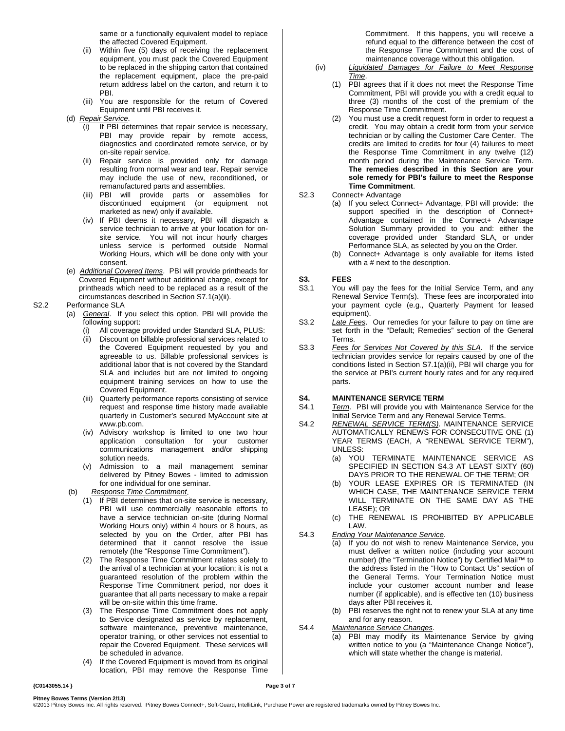same or a functionally equivalent model to replace the affected Covered Equipment.

- (ii) Within five (5) days of receiving the replacement equipment, you must pack the Covered Equipment to be replaced in the shipping carton that contained the replacement equipment, place the pre-paid return address label on the carton, and return it to PBI.
- (iii) You are responsible for the return of Covered Equipment until PBI receives it.
- (d) *Repair Service*.
	- If PBI determines that repair service is necessary, PBI may provide repair by remote access, diagnostics and coordinated remote service, or by on-site repair service.
	- (ii) Repair service is provided only for damage resulting from normal wear and tear. Repair service may include the use of new, reconditioned, or remanufactured parts and assemblies.
	- (iii) PBI will provide parts or assemblies for discontinued equipment (or equipment not marketed as new) only if available.
	- (iv) If PBI deems it necessary, PBI will dispatch a service technician to arrive at your location for onsite service. You will not incur hourly charges unless service is performed outside Normal Working Hours, which will be done only with your consent.
- (e) *Additional Covered Items*. PBI will provide printheads for Covered Equipment without additional charge, except for printheads which need to be replaced as a result of the circumstances described in Section S7.1(a)(ii).

#### S2.2 Performance SLA

- (a) *General*. If you select this option, PBI will provide the following support:
	- (i) All coverage provided under Standard SLA, PLUS:
	- Discount on billable professional services related to the Covered Equipment requested by you and agreeable to us. Billable professional services is additional labor that is not covered by the Standard SLA and includes but are not limited to ongoing equipment training services on how to use the Covered Equipment.
	- (iii) Quarterly performance reports consisting of service request and response time history made available quarterly in Customer's secured MyAccount site at [www.pb.com.](http://www.pb.com/)
	- (iv) Advisory workshop is limited to one two hour application consultation for your customer communications management and/or shipping solution needs.
	- (v) Admission to a mail management seminar delivered by Pitney Bowes - limited to admission for one individual for one seminar.
- (b) *Response Time Commitment*.
	- (1) If PBI determines that on-site service is necessary, PBI will use commercially reasonable efforts to have a service technician on-site (during Normal Working Hours only) within 4 hours or 8 hours, as selected by you on the Order, after PBI has determined that it cannot resolve the issue remotely (the "Response Time Commitment").
	- (2) The Response Time Commitment relates solely to the arrival of a technician at your location; it is not a guaranteed resolution of the problem within the Response Time Commitment period, nor does it guarantee that all parts necessary to make a repair will be on-site within this time frame.
	- (3) The Response Time Commitment does not apply to Service designated as service by replacement, software maintenance, preventive maintenance, operator training, or other services not essential to repair the Covered Equipment. These services will be scheduled in advance.
	- (4) If the Covered Equipment is moved from its original location, PBI may remove the Response Time

Commitment. If this happens, you will receive a refund equal to the difference between the cost of the Response Time Commitment and the cost of maintenance coverage without this obligation.

- (iv) *Liquidated Damages for Failure to Meet Response Time*.
	- (1) PBI agrees that if it does not meet the Response Time Commitment, PBI will provide you with a credit equal to three (3) months of the cost of the premium of the Response Time Commitment.
	- (2) You must use a credit request form in order to request a credit. You may obtain a credit form from your service technician or by calling the Customer Care Center. The credits are limited to credits for four (4) failures to meet the Response Time Commitment in any twelve (12) month period during the Maintenance Service Term. **The remedies described in this Section are your sole remedy for PBI's failure to meet the Response Time Commitment**.

#### S2.3 Connect+ Advantage

- (a) If you select Connect+ Advantage, PBI will provide: the support specified in the description of Connect+ Advantage contained in the Connect+ Advantage Solution Summary provided to you and: either the coverage provided under Standard SLA, or under Performance SLA, as selected by you on the Order.
- (b) Connect+ Advantage is only available for items listed with a # next to the description.

# **S3. FEES**

- You will pay the fees for the Initial Service Term, and any Renewal Service Term(s). These fees are incorporated into your payment cycle (e.g., Quarterly Payment for leased equipment).
- S3.2 *Late Fees*. Our remedies for your failure to pay on time are set forth in the "Default; Remedies" section of the General Terms.
- S3.3 *Fees for Services Not Covered by this SLA.* If the service technician provides service for repairs caused by one of the conditions listed in Section S7.1(a)(ii), PBI will charge you for the service at PBI's current hourly rates and for any required parts.

# **S4. MAINTENANCE SERVICE TERM**<br>S4.1 *Term.* PBI will provide you with M

- Term. PBI will provide you with Maintenance Service for the Initial Service Term and any Renewal Service Terms.
- S4.2 *RENEWAL SERVICE TERM(S)*. MAINTENANCE SERVICE AUTOMATICALLY RENEWS FOR CONSECUTIVE ONE (1) YEAR TERMS (EACH, A "RENEWAL SERVICE TERM"), UNLESS:
	- (a) YOU TERMINATE MAINTENANCE SERVICE AS SPECIFIED IN SECTION S4.3 AT LEAST SIXTY (60) DAYS PRIOR TO THE RENEWAL OF THE TERM; OR
	- (b) YOUR LEASE EXPIRES OR IS TERMINATED (IN WHICH CASE, THE MAINTENANCE SERVICE TERM WILL TERMINATE ON THE SAME DAY AS THE LEASE); OR
	- (c) THE RENEWAL IS PROHIBITED BY APPLICABLE LAW.
- S4.3 *Ending Your Maintenance Service*.
	- (a) If you do not wish to renew Maintenance Service, you must deliver a written notice (including your account number) (the "Termination Notice") by Certified Mail™ to the address listed in the "How to Contact Us" section of the General Terms. Your Termination Notice must include your customer account number and lease number (if applicable), and is effective ten (10) business days after PBI receives it.
	- (b) PBI reserves the right not to renew your SLA at any time and for any reason.
- S4.4 *Maintenance Service Changes*.
	- (a) PBI may modify its Maintenance Service by giving written notice to you (a "Maintenance Change Notice"), which will state whether the change is material.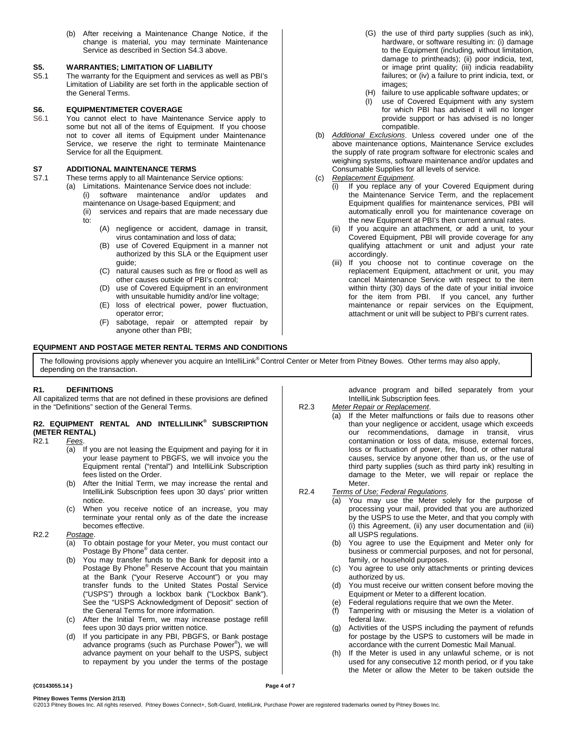(b) After receiving a Maintenance Change Notice, if the change is material, you may terminate Maintenance Service as described in Section S4.3 above.

# **S5. WARRANTIES; LIMITATION OF LIABILITY**

The warranty for the Equipment and services as well as PBI's Limitation of Liability are set forth in the applicable section of the General Terms.

### **S6. EQUIPMENT/METER COVERAGE**

S6.1 You cannot elect to have Maintenance Service apply to some but not all of the items of Equipment. If you choose not to cover all items of Equipment under Maintenance Service, we reserve the right to terminate Maintenance Service for all the Equipment.

# **S7 ADDITIONAL MAINTENANCE TERMS**

These terms apply to all Maintenance Service options:

- (a) Limitations. Maintenance Service does not include: (i) software maintenance and/or updates and
	- maintenance on Usage-based Equipment; and (ii) services and repairs that are made necessary due to:
		- (A) negligence or accident, damage in transit, virus contamination and loss of data;
		- (B) use of Covered Equipment in a manner not authorized by this SLA or the Equipment user guide;
		- (C) natural causes such as fire or flood as well as other causes outside of PBI's control;
		- (D) use of Covered Equipment in an environment with unsuitable humidity and/or line voltage;
		- (E) loss of electrical power, power fluctuation, operator error;
		- (F) sabotage, repair or attempted repair by anyone other than PBI;

### **EQUIPMENT AND POSTAGE METER RENTAL TERMS AND CONDITIONS**

- (G) the use of third party supplies (such as ink), hardware, or software resulting in: (i) damage to the Equipment (including, without limitation, damage to printheads); (ii) poor indicia, text, or image print quality; (iii) indicia readability failures; or (iv) a failure to print indicia, text, or images;
- (H) failure to use applicable software updates; or
- (I) use of Covered Equipment with any system for which PBI has advised it will no longer provide support or has advised is no longer compatible.
- (b) *Additional Exclusions*. Unless covered under one of the above maintenance options, Maintenance Service excludes the supply of rate program software for electronic scales and weighing systems, software maintenance and/or updates and Consumable Supplies for all levels of service.
- (c) *Replacement Equipment*.
	- (i) If you replace any of your Covered Equipment during the Maintenance Service Term, and the replacement Equipment qualifies for maintenance services, PBI will automatically enroll you for maintenance coverage on the new Equipment at PBI's then current annual rates.
	- (ii) If you acquire an attachment, or add a unit, to your Covered Equipment, PBI will provide coverage for any qualifying attachment or unit and adjust your rate accordingly.
	- (iii) If you choose not to continue coverage on the replacement Equipment, attachment or unit, you may cancel Maintenance Service with respect to the item within thirty (30) days of the date of your initial invoice for the item from PBI. If you cancel, any further maintenance or repair services on the Equipment, attachment or unit will be subject to PBI's current rates.

The following provisions apply whenever you acquire an IntelliLink® Control Center or Meter from Pitney Bowes. Other terms may also apply, depending on the transaction.

### **R1. DEFINITIONS**

All capitalized terms that are not defined in these provisions are defined in the "Definitions" section of the General Terms.

### **R2. EQUIPMENT RENTAL AND INTELLILINK® SUBSCRIPTION (METER RENTAL)**<br>R2.1 Fees.

### $Fees.$

- (a) If you are not leasing the Equipment and paying for it in your lease payment to PBGFS, we will invoice you the Equipment rental ("rental") and IntelliLink Subscription fees listed on the Order.
- (b) After the Initial Term, we may increase the rental and IntelliLink Subscription fees upon 30 days' prior written notice.
- (c) When you receive notice of an increase, you may terminate your rental only as of the date the increase becomes effective.

### R2.2 *Postage*.

- (a) To obtain postage for your Meter, you must contact our Postage By Phone® data center.
- (b) You may transfer funds to the Bank for deposit into a Postage By Phone® Reserve Account that you maintain at the Bank ("your Reserve Account") or you may transfer funds to the United States Postal Service ("USPS") through a lockbox bank ("Lockbox Bank"). See the "USPS Acknowledgment of Deposit" section of the General Terms for more information.
- (c) After the Initial Term, we may increase postage refill fees upon 30 days prior written notice.
- (d) If you participate in any PBI, PBGFS, or Bank postage advance programs (such as Purchase Power® ), we will advance payment on your behalf to the USPS, subject to repayment by you under the terms of the postage

advance program and billed separately from your IntelliLink Subscription fees.

### R2.3 *Meter Repair or Replacement*.

- (a) If the Meter malfunctions or fails due to reasons other than your negligence or accident, usage which exceeds our recommendations, damage in transit, virus contamination or loss of data, misuse, external forces, loss or fluctuation of power, fire, flood, or other natural causes, service by anyone other than us, or the use of third party supplies (such as third party ink) resulting in damage to the Meter, we will repair or replace the Meter.
- R2.4 *Terms of Use; Federal Regulations*.
	- (a) You may use the Meter solely for the purpose of processing your mail, provided that you are authorized by the USPS to use the Meter, and that you comply with (i) this Agreement, (ii) any user documentation and (iii) all USPS regulations.
	- (b) You agree to use the Equipment and Meter only for business or commercial purposes, and not for personal, family, or household purposes.
	- (c) You agree to use only attachments or printing devices authorized by us.
	- (d) You must receive our written consent before moving the Equipment or Meter to a different location.
	- (e) Federal regulations require that we own the Meter.
	- (f) Tampering with or misusing the Meter is a violation of federal law.
	- (g) Activities of the USPS including the payment of refunds for postage by the USPS to customers will be made in accordance with the current Domestic Mail Manual.
	- (h) If the Meter is used in any unlawful scheme, or is not used for any consecutive 12 month period, or if you take the Meter or allow the Meter to be taken outside the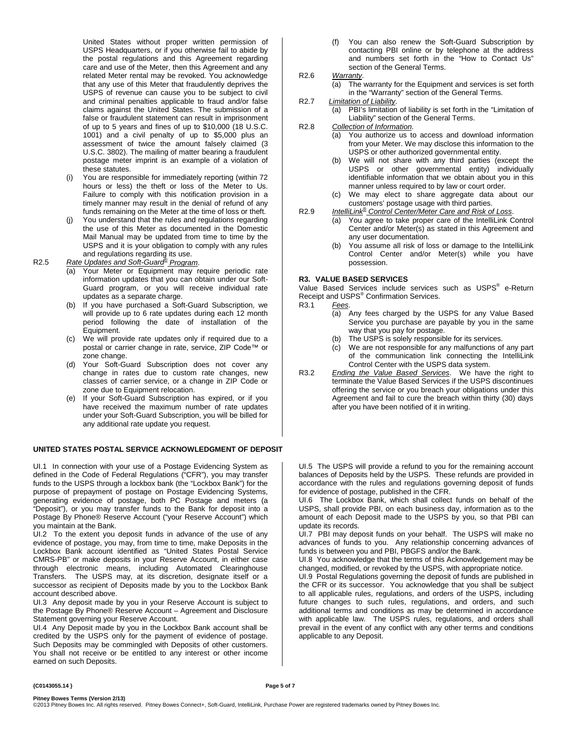United States without proper written permission of USPS Headquarters, or if you otherwise fail to abide by the postal regulations and this Agreement regarding care and use of the Meter, then this Agreement and any related Meter rental may be revoked. You acknowledge that any use of this Meter that fraudulently deprives the USPS of revenue can cause you to be subject to civil and criminal penalties applicable to fraud and/or false claims against the United States. The submission of a false or fraudulent statement can result in imprisonment of up to 5 years and fines of up to \$10,000 (18 U.S.C. 1001) and a civil penalty of up to \$5,000 plus an assessment of twice the amount falsely claimed (3 U.S.C. 3802). The mailing of matter bearing a fraudulent postage meter imprint is an example of a violation of these statutes.

- You are responsible for immediately reporting (within 72 hours or less) the theft or loss of the Meter to Us. Failure to comply with this notification provision in a timely manner may result in the denial of refund of any funds remaining on the Meter at the time of loss or theft.
- You understand that the rules and regulations regarding the use of this Meter as documented in the Domestic Mail Manual may be updated from time to time by the USPS and it is your obligation to comply with any rules

# and regulations regarding its use. R2.5 *Rate Updates and Soft-Guard® Program*.

- (a) Your Meter or Equipment may require periodic rate information updates that you can obtain under our Soft-Guard program, or you will receive individual rate updates as a separate charge.
- (b) If you have purchased a Soft-Guard Subscription, we will provide up to 6 rate updates during each 12 month period following the date of installation of the Equipment.
- (c) We will provide rate updates only if required due to a postal or carrier change in rate, service, ZIP Code™ or zone change.
- (d) Your Soft-Guard Subscription does not cover any change in rates due to custom rate changes, new classes of carrier service, or a change in ZIP Code or zone due to Equipment relocation.
- (e) If your Soft-Guard Subscription has expired, or if you have received the maximum number of rate updates under your Soft-Guard Subscription, you will be billed for any additional rate update you request.

#### **UNITED STATES POSTAL SERVICE ACKNOWLEDGMENT OF DEPOSIT**

UI.1 In connection with your use of a Postage Evidencing System as defined in the Code of Federal Regulations ("CFR"), you may transfer funds to the USPS through a lockbox bank (the "Lockbox Bank") for the purpose of prepayment of postage on Postage Evidencing Systems, generating evidence of postage, both PC Postage and meters (a "Deposit"), or you may transfer funds to the Bank for deposit into a Postage By Phone® Reserve Account ("your Reserve Account") which you maintain at the Bank.

UI.2 To the extent you deposit funds in advance of the use of any evidence of postage, you may, from time to time, make Deposits in the Lockbox Bank account identified as "United States Postal Service CMRS-PB" or make deposits in your Reserve Account, in either case through electronic means, including Automated Clearinghouse Transfers. The USPS may, at its discretion, designate itself or a successor as recipient of Deposits made by you to the Lockbox Bank account described above.

UI.3 Any deposit made by you in your Reserve Account is subject to the Postage By Phone® Reserve Account – Agreement and Disclosure Statement governing your Reserve Account.

UI.4 Any Deposit made by you in the Lockbox Bank account shall be credited by the USPS only for the payment of evidence of postage. Such Deposits may be commingled with Deposits of other customers. You shall not receive or be entitled to any interest or other income earned on such Deposits.

- (f) You can also renew the Soft-Guard Subscription by contacting PBI online or by telephone at the address and numbers set forth in the "How to Contact Us" section of the General Terms.
- R2.6 *Warranty*.
	- (a) The warranty for the Equipment and services is set forth in the "Warranty" section of the General Terms.
- R2.7 *Limitation of Liability*.
	- (a) PBI's limitation of liability is set forth in the "Limitation of Liability" section of the General Terms.
- R2.8 *Collection of Information*.
	- (a) You authorize us to access and download information from your Meter. We may disclose this information to the USPS or other authorized governmental entity.
	- (b) We will not share with any third parties (except the USPS or other governmental entity) individually identifiable information that we obtain about you in this manner unless required to by law or court order.
	- (c) We may elect to share aggregate data about our customers' postage usage with third parties.
- R2.9 *IntelliLink® Control Center/Meter Care and Risk of Loss*.
	- (a) You agree to take proper care of the IntelliLink Control Center and/or Meter(s) as stated in this Agreement and any user documentation.
		- (b) You assume all risk of loss or damage to the IntelliLink Control Center and/or Meter(s) while you have possession.

#### **R3. VALUE BASED SERVICES**

Value Based Services include services such as USPS<sup>®</sup> e-Return Receipt and USPS<sup>®</sup> Confirmation Services.<br>R3.1 Fees

- Fees.
	- (a) Any fees charged by the USPS for any Value Based Service you purchase are payable by you in the same way that you pay for postage.
	- (b) The USPS is solely responsible for its services.
	- (c) We are not responsible for any malfunctions of any part of the communication link connecting the IntelliLink Control Center with the USPS data system.
- R3.2 *Ending the Value Based Services*. We have the right to terminate the Value Based Services if the USPS discontinues offering the service or you breach your obligations under this Agreement and fail to cure the breach within thirty (30) days after you have been notified of it in writing.

UI.5 The USPS will provide a refund to you for the remaining account balances of Deposits held by the USPS. These refunds are provided in accordance with the rules and regulations governing deposit of funds for evidence of postage, published in the CFR.

UI.6 The Lockbox Bank, which shall collect funds on behalf of the USPS, shall provide PBI, on each business day, information as to the amount of each Deposit made to the USPS by you, so that PBI can update its records.

UI.7 PBI may deposit funds on your behalf. The USPS will make no advances of funds to you. Any relationship concerning advances of funds is between you and PBI, PBGFS and/or the Bank.

UI.8 You acknowledge that the terms of this Acknowledgement may be changed, modified, or revoked by the USPS, with appropriate notice.

UI.9 Postal Regulations governing the deposit of funds are published in the CFR or its successor. You acknowledge that you shall be subject to all applicable rules, regulations, and orders of the USPS, including future changes to such rules, regulations, and orders, and such additional terms and conditions as may be determined in accordance with applicable law. The USPS rules, regulations, and orders shall prevail in the event of any conflict with any other terms and conditions applicable to any Deposit.

#### **{C0143055.14 } Page 5 of 7**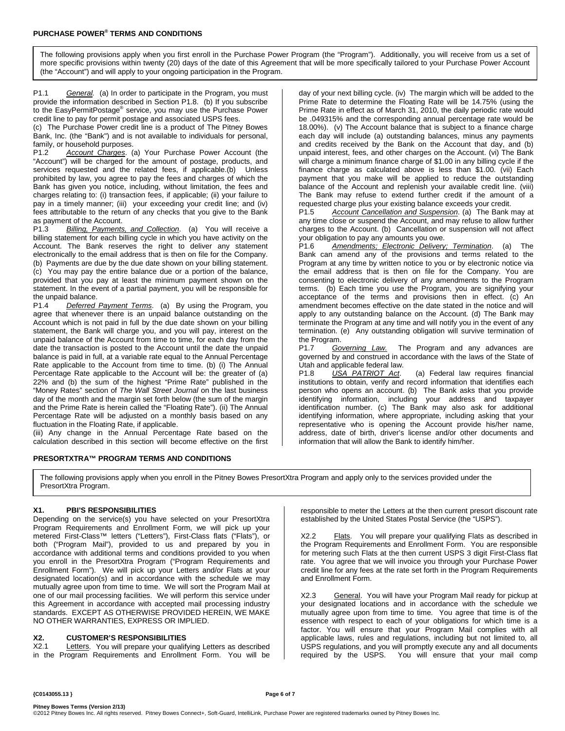The following provisions apply when you first enroll in the Purchase Power Program (the "Program"). Additionally, you will receive from us a set of more specific provisions within twenty (20) days of the date of this Agreement that will be more specifically tailored to your Purchase Power Account (the "Account") and will apply to your ongoing participation in the Program.

P1.1 *General.* (a) In order to participate in the Program, you must provide the information described in Section P1.8. (b) If you subscribe to the EasyPermitPostage® service, you may use the Purchase Power credit line to pay for permit postage and associated USPS fees.

(c) The Purchase Power credit line is a product of The Pitney Bowes Bank, Inc. (the "Bank") and is not available to individuals for personal, family, or household purposes.<br>P1.2 Account Charges. (a

Account Charges. (a) Your Purchase Power Account (the "Account") will be charged for the amount of postage, products, and services requested and the related fees, if applicable.(b) Unless prohibited by law, you agree to pay the fees and charges of which the Bank has given you notice, including, without limitation, the fees and charges relating to: (i) transaction fees, if applicable; (ii) your failure to pay in a timely manner; (iii) your exceeding your credit line; and (iv) fees attributable to the return of any checks that you give to the Bank

as payment of the Account.<br>P1.3 Billing, Payments Billing, Payments, and Collection. (a) You will receive a billing statement for each billing cycle in which you have activity on the Account. The Bank reserves the right to deliver any statement electronically to the email address that is then on file for the Company. (b) Payments are due by the due date shown on your billing statement. (c) You may pay the entire balance due or a portion of the balance, provided that you pay at least the minimum payment shown on the statement. In the event of a partial payment, you will be responsible for the unpaid balance.<br>P1.4 Deferred

**Deferred Payment Terms.** (a) By using the Program, you agree that whenever there is an unpaid balance outstanding on the Account which is not paid in full by the due date shown on your billing statement, the Bank will charge you, and you will pay, interest on the unpaid balance of the Account from time to time, for each day from the date the transaction is posted to the Account until the date the unpaid balance is paid in full, at a variable rate equal to the Annual Percentage Rate applicable to the Account from time to time. (b) (i) The Annual Percentage Rate applicable to the Account will be: the greater of (a) 22% and (b) the sum of the highest "Prime Rate" published in the "Money Rates" section of *The Wall Street Journal* on the last business day of the month and the margin set forth below (the sum of the margin and the Prime Rate is herein called the "Floating Rate"). (ii) The Annual Percentage Rate will be adjusted on a monthly basis based on any fluctuation in the Floating Rate, if applicable.

(iii) Any change in the Annual Percentage Rate based on the calculation described in this section will become effective on the first

#### **PRESORTXTRA™ PROGRAM TERMS AND CONDITIONS**

day of your next billing cycle. (iv) The margin which will be added to the Prime Rate to determine the Floating Rate will be 14.75% (using the Prime Rate in effect as of March 31, 2010, the daily periodic rate would be .049315% and the corresponding annual percentage rate would be 18.00%). (v) The Account balance that is subject to a finance charge each day will include (a) outstanding balances, minus any payments and credits received by the Bank on the Account that day, and (b) unpaid interest, fees, and other charges on the Account. (vi) The Bank will charge a minimum finance charge of \$1.00 in any billing cycle if the finance charge as calculated above is less than \$1.00. (vii) Each payment that you make will be applied to reduce the outstanding balance of the Account and replenish your available credit line. (viii) The Bank may refuse to extend further credit if the amount of a requested charge plus your existing balance exceeds your credit.<br>P1.5 Account Cancellation and Suspension (a) The Bank

Account Cancellation and Suspension. (a) The Bank may at any time close or suspend the Account, and may refuse to allow further charges to the Account. (b) Cancellation or suspension will not affect your obligation to pay any amounts you owe.<br>P1.6 Amendments: Electronic Delivery

Amendments; Electronic Delivery; Termination. (a) The Bank can amend any of the provisions and terms related to the Program at any time by written notice to you or by electronic notice via the email address that is then on file for the Company. You are consenting to electronic delivery of any amendments to the Program terms. (b) Each time you use the Program, you are signifying your acceptance of the terms and provisions then in effect. (c) An amendment becomes effective on the date stated in the notice and will apply to any outstanding balance on the Account. (d) The Bank may terminate the Program at any time and will notify you in the event of any termination. (e) Any outstanding obligation will survive termination of the Program.

P1.7 *Governing Law.* The Program and any advances are governed by and construed in accordance with the laws of the State of

Utah and applicable federal law.<br>P1.8 USA PATRIOT Act. (a) Federal law requires financial institutions to obtain, verify and record information that identifies each person who opens an account. (b) The Bank asks that you provide identifying information, including your address and taxpayer identification number. (c) The Bank may also ask for additional identifying information, where appropriate, including asking that your representative who is opening the Account provide his/her name, address, date of birth, driver's license and/or other documents and information that will allow the Bank to identify him/her.

The following provisions apply when you enroll in the Pitney Bowes PresortXtra Program and apply only to the services provided under the PresortXtra Program.

#### **X1. PBI'S RESPONSIBILITIES**

Depending on the service(s) you have selected on your PresortXtra Program Requirements and Enrollment Form, we will pick up your metered First-Class™ letters ("Letters"), First-Class flats ("Flats"), or both ("Program Mail"), provided to us and prepared by you in accordance with additional terms and conditions provided to you when you enroll in the PresortXtra Program ("Program Requirements and Enrollment Form"). We will pick up your Letters and/or Flats at your designated location(s) and in accordance with the schedule we may mutually agree upon from time to time. We will sort the Program Mail at one of our mail processing facilities. We will perform this service under this Agreement in accordance with accepted mail processing industry standards. EXCEPT AS OTHERWISE PROVIDED HEREIN, WE MAKE NO OTHER WARRANTIES, EXPRESS OR IMPLIED.

# **X2. CUSTOMER'S RESPONSIBILITIES**

Letters. You will prepare your qualifying Letters as described in the Program Requirements and Enrollment Form. You will be responsible to meter the Letters at the then current presort discount rate established by the United States Postal Service (the "USPS").

Flats. You will prepare your qualifying Flats as described in the Program Requirements and Enrollment Form. You are responsible for metering such Flats at the then current USPS 3 digit First-Class flat rate. You agree that we will invoice you through your Purchase Power credit line for any fees at the rate set forth in the Program Requirements and Enrollment Form.

X2.3 General. You will have your Program Mail ready for pickup at your designated locations and in accordance with the schedule we mutually agree upon from time to time. You agree that time is of the essence with respect to each of your obligations for which time is a factor. You will ensure that your Program Mail complies with all applicable laws, rules and regulations, including but not limited to, all USPS regulations, and you will promptly execute any and all documents required by the USPS. You will ensure that your mail comp You will ensure that your mail comp